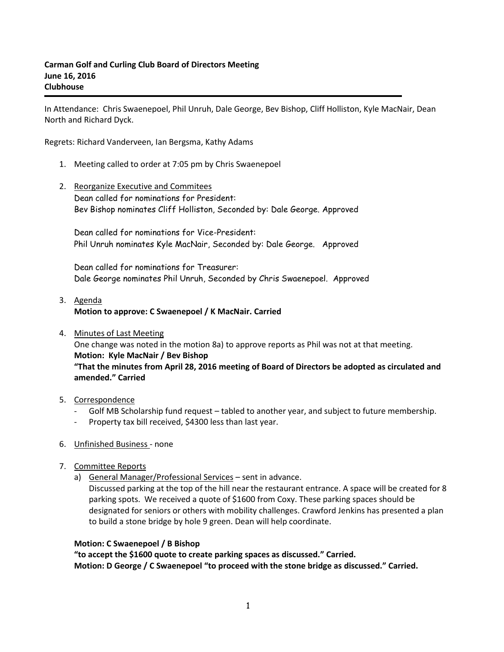In Attendance: Chris Swaenepoel, Phil Unruh, Dale George, Bev Bishop, Cliff Holliston, Kyle MacNair, Dean North and Richard Dyck.

Regrets: Richard Vanderveen, Ian Bergsma, Kathy Adams

- 1. Meeting called to order at 7:05 pm by Chris Swaenepoel
- 2. Reorganize Executive and Commitees Dean called for nominations for President: Bev Bishop nominates Cliff Holliston, Seconded by: Dale George. Approved

Dean called for nominations for Vice-President: Phil Unruh nominates Kyle MacNair, Seconded by: Dale George. Approved

Dean called for nominations for Treasurer: Dale George nominates Phil Unruh, Seconded by Chris Swaenepoel. Approved

## 3. Agenda **Motion to approve: C Swaenepoel / K MacNair. Carried**

4. Minutes of Last Meeting One change was noted in the motion 8a) to approve reports as Phil was not at that meeting. **Motion: Kyle MacNair / Bev Bishop "That the minutes from April 28, 2016 meeting of Board of Directors be adopted as circulated and amended." Carried**

## 5. Correspondence

- Golf MB Scholarship fund request tabled to another year, and subject to future membership.
- Property tax bill received, \$4300 less than last year.
- 6. Unfinished Business none
- 7. Committee Reports
	- a) General Manager/Professional Services sent in advance.

Discussed parking at the top of the hill near the restaurant entrance. A space will be created for 8 parking spots. We received a quote of \$1600 from Coxy. These parking spaces should be designated for seniors or others with mobility challenges. Crawford Jenkins has presented a plan to build a stone bridge by hole 9 green. Dean will help coordinate.

### **Motion: C Swaenepoel / B Bishop**

**"to accept the \$1600 quote to create parking spaces as discussed." Carried. Motion: D George / C Swaenepoel "to proceed with the stone bridge as discussed." Carried.**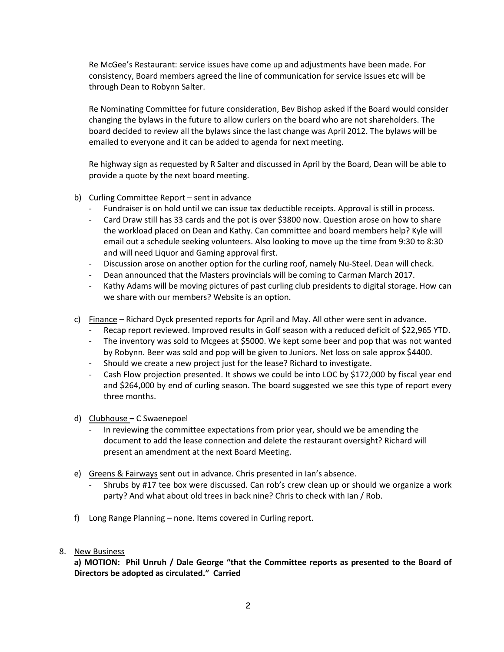Re McGee's Restaurant: service issues have come up and adjustments have been made. For consistency, Board members agreed the line of communication for service issues etc will be through Dean to Robynn Salter.

Re Nominating Committee for future consideration, Bev Bishop asked if the Board would consider changing the bylaws in the future to allow curlers on the board who are not shareholders. The board decided to review all the bylaws since the last change was April 2012. The bylaws will be emailed to everyone and it can be added to agenda for next meeting.

Re highway sign as requested by R Salter and discussed in April by the Board, Dean will be able to provide a quote by the next board meeting.

- b) Curling Committee Report sent in advance
	- Fundraiser is on hold until we can issue tax deductible receipts. Approval is still in process.
	- Card Draw still has 33 cards and the pot is over \$3800 now. Question arose on how to share the workload placed on Dean and Kathy. Can committee and board members help? Kyle will email out a schedule seeking volunteers. Also looking to move up the time from 9:30 to 8:30 and will need Liquor and Gaming approval first.
	- Discussion arose on another option for the curling roof, namely Nu-Steel. Dean will check.
	- Dean announced that the Masters provincials will be coming to Carman March 2017.
	- Kathy Adams will be moving pictures of past curling club presidents to digital storage. How can we share with our members? Website is an option.
- c) Finance Richard Dyck presented reports for April and May. All other were sent in advance.
	- Recap report reviewed. Improved results in Golf season with a reduced deficit of \$22,965 YTD.
	- The inventory was sold to Mcgees at \$5000. We kept some beer and pop that was not wanted by Robynn. Beer was sold and pop will be given to Juniors. Net loss on sale approx \$4400.
	- Should we create a new project just for the lease? Richard to investigate.
	- Cash Flow projection presented. It shows we could be into LOC by \$172,000 by fiscal year end and \$264,000 by end of curling season. The board suggested we see this type of report every three months.
- d) Clubhouse **–** C Swaenepoel
	- In reviewing the committee expectations from prior year, should we be amending the document to add the lease connection and delete the restaurant oversight? Richard will present an amendment at the next Board Meeting.
- e) Greens & Fairways sent out in advance. Chris presented in Ian's absence.
	- Shrubs by #17 tee box were discussed. Can rob's crew clean up or should we organize a work party? And what about old trees in back nine? Chris to check with Ian / Rob.
- f) Long Range Planning none. Items covered in Curling report.
- 8. New Business

**a) MOTION: Phil Unruh / Dale George "that the Committee reports as presented to the Board of Directors be adopted as circulated." Carried**